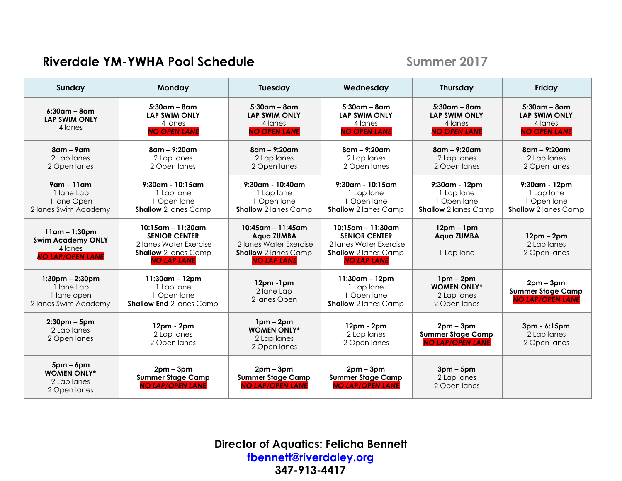## **Riverdale YM-YWHA Pool Schedule Summer** 2017

| Sunday                                                                             | Monday                                                                                                                      | Tuesday                                                                                                            | Wednesday                                                                                                                   | <b>Thursday</b>                                                              | Friday                                                                       |
|------------------------------------------------------------------------------------|-----------------------------------------------------------------------------------------------------------------------------|--------------------------------------------------------------------------------------------------------------------|-----------------------------------------------------------------------------------------------------------------------------|------------------------------------------------------------------------------|------------------------------------------------------------------------------|
| $6:30$ am – 8am<br><b>LAP SWIM ONLY</b><br>4 lanes                                 | $5:30$ am – 8am<br><b>LAP SWIM ONLY</b><br>4 lanes<br><b>NO OPEN LANE</b>                                                   | $5:30$ am – $8$ am<br><b>LAP SWIM ONLY</b><br>4 lanes<br><b>NO OPEN LANE</b>                                       | $5:30$ am – 8am<br><b>LAP SWIM ONLY</b><br>4 lanes<br><b>NO OPEN LANE</b>                                                   | $5:30$ am – 8am<br><b>LAP SWIM ONLY</b><br>4 lanes<br><b>NO OPEN LANE</b>    | $5:30$ am – 8am<br><b>LAP SWIM ONLY</b><br>4 lanes<br><b>NO OPEN LANE</b>    |
| $8$ am – $9$ am<br>2 Lap lanes<br>2 Open lanes                                     | $8$ am – 9:20am<br>2 Lap lanes<br>2 Open lanes                                                                              | $8$ am – 9:20am<br>2 Lap lanes<br>2 Open lanes                                                                     | $8$ am – 9:20am<br>2 Lap lanes<br>2 Open lanes                                                                              | $8$ am – 9:20am<br>2 Lap lanes<br>2 Open lanes                               | $8$ am – 9:20am<br>2 Lap lanes<br>2 Open lanes                               |
| $9$ am – 11 am<br>1 lane Lap<br>1 Iane Open<br>2 lanes Swim Academy                | $9:30$ am - 10:15am<br>1 Lap lane<br>1 Open lane<br><b>Shallow</b> 2 lanes Camp                                             | $9:30$ am - 10:40am<br>1 Lap lane<br>1 Open lane<br><b>Shallow</b> 2 lanes Camp                                    | $9:30$ am - 10:15am<br>1 Lap lane<br>1 Open lane<br><b>Shallow</b> 2 lanes Camp                                             | $9:30$ am - 12pm<br>1 Lap lane<br>1 Open lane<br><b>Shallow</b> 2 lanes Camp | $9:30$ am - 12pm<br>1 Lap lane<br>1 Open lane<br><b>Shallow</b> 2 lanes Camp |
| $11$ am – 1:30pm<br><b>Swim Academy ONLY</b><br>4 lanes<br><b>NO LAP/OPEN LANE</b> | $10:15$ am - 11:30am<br><b>SENIOR CENTER</b><br>2 Ianes Water Exercise<br><b>Shallow</b> 2 lanes Camp<br><b>NO LAP LANE</b> | $10:45$ am - 11:45 am<br>Aqua ZUMBA<br>2 Ianes Water Exercise<br><b>Shallow</b> 2 lanes Camp<br><b>NO LAP LANE</b> | $10:15$ am - 11:30am<br><b>SENIOR CENTER</b><br>2 Ianes Water Exercise<br><b>Shallow</b> 2 lanes Camp<br><b>NO LAP LANE</b> | $12pm - 1pm$<br>Aqua ZUMBA<br>1 Lap lane                                     | $12pm - 2pm$<br>2 Lap lanes<br>2 Open lanes                                  |
| $1:30pm - 2:30pm$<br>1 lane Lap<br>1 lane open<br>2 lanes Swim Academy             | $11:30$ am – 12pm<br>1 Lap lane<br>1 Open lane<br><b>Shallow End 2 lanes Camp</b>                                           | $12pm - 1pm$<br>2 lane Lap<br>2 lanes Open                                                                         | $11:30$ am – 12pm<br>1 Lap lane<br>1 Open lane<br><b>Shallow</b> 2 lanes Camp                                               | $1pm - 2pm$<br><b>WOMEN ONLY*</b><br>2 Lap lanes<br>2 Open lanes             | $2$ pm – $3$ pm<br><b>Summer Stage Camp</b><br><b>NO LAP/OPEN LANE</b>       |
| $2:30$ pm – 5pm<br>2 Lap lanes<br>2 Open lanes                                     | 12pm - 2pm<br>2 Lap lanes<br>2 Open lanes                                                                                   | $1pm - 2pm$<br><b>WOMEN ONLY*</b><br>2 Lap lanes<br>2 Open lanes                                                   | $12pm - 2pm$<br>2 Lap lanes<br>2 Open lanes                                                                                 | $2pm - 3pm$<br><b>Summer Stage Camp</b><br><b>NO LAP/OPEN LANE</b>           | 3pm - 6:15pm<br>2 Lap lanes<br>2 Open lanes                                  |
| $5pm - 6pm$<br><b>WOMEN ONLY*</b><br>2 Lap lanes<br>2 Open lanes                   | $2pm - 3pm$<br><b>Summer Stage Camp</b><br><b>NO LAP/OPEN LANE</b>                                                          | $2pm - 3pm$<br><b>Summer Stage Camp</b><br><b>NO LAP/OPEN LANE</b>                                                 | $2pm - 3pm$<br><b>Summer Stage Camp</b><br><b>NO LAP/OPEN LANE</b>                                                          | $3pm-5pm$<br>2 Lap lanes<br>2 Open lanes                                     |                                                                              |

**Director of Aquatics: Felicha Bennett [fbennett@riverdaley.org](mailto:fbennett@riverdaley.org) 347-913-4417**